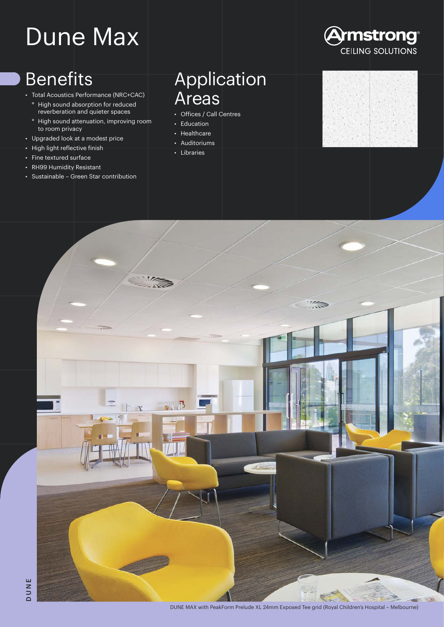# Dune Max

## Benefits

- Total Acoustics Performance (NRC+CAC)
	- ° High sound absorption for reduced reverberation and quieter spaces
	- ° High sound attenuation, improving room to room privacy
- Upgraded look at a modest price
- High light reflective finish
- Fine textured surface
- RH99 Humidity Resistant
- Sustainable Green Star contribution

### Application Areas

- Offices / Call Centres
- Education
- Healthcare
- Auditoriums • Libraries